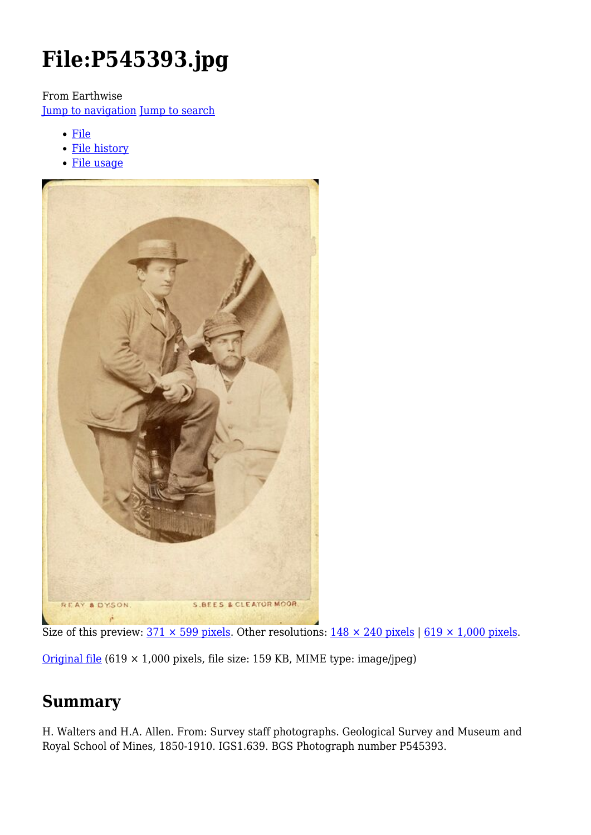# **File:P545393.jpg**

From Earthwise

[Jump to navigation](#page--1-0) [Jump to search](#page--1-0)

- [File](#page--1-0)
- [File history](#page--1-0)
- [File usage](#page--1-0)



Size of this preview:  $371 \times 599$  pixels. Other resolutions:  $148 \times 240$  pixels | 619  $\times$  1,000 pixels.

[Original file](http://earthwise.bgs.ac.uk/images/1/17/P545393.jpg)  $(619 \times 1,000)$  pixels, file size: 159 KB, MIME type: image/jpeg)

## **Summary**

H. Walters and H.A. Allen. From: Survey staff photographs. Geological Survey and Museum and Royal School of Mines, 1850-1910. IGS1.639. BGS Photograph number P545393.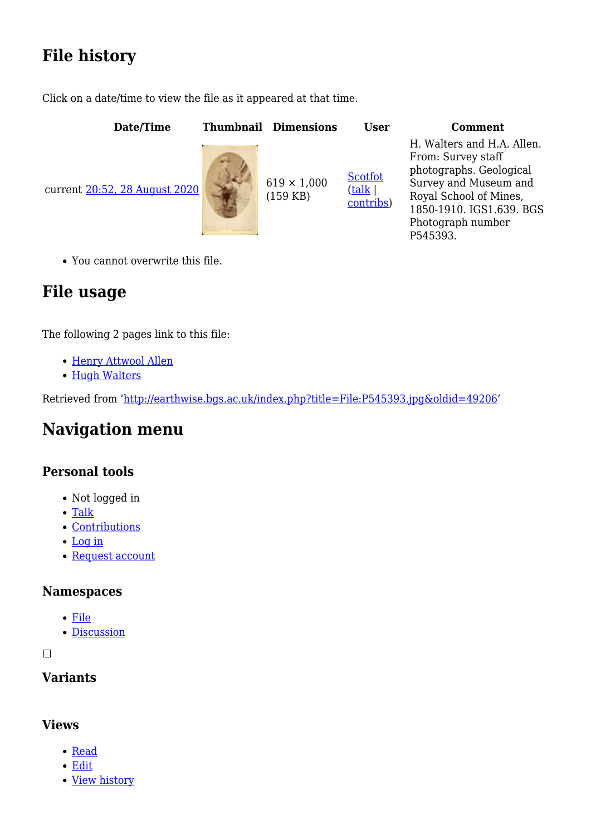# **File history**

Click on a date/time to view the file as it appeared at that time.

| Date/Time                     | <b>Thumbnail Dimensions</b>      | <b>User</b>                    | <b>Comment</b>                                                                                                                                                                              |
|-------------------------------|----------------------------------|--------------------------------|---------------------------------------------------------------------------------------------------------------------------------------------------------------------------------------------|
| current 20:52, 28 August 2020 | $619 \times 1,000$<br>$(159$ KB) | Scotfot<br>(talk)<br>contribs) | H. Walters and H.A. Allen.<br>From: Survey staff<br>photographs. Geological<br>Survey and Museum and<br>Royal School of Mines,<br>1850-1910. IGS1.639. BGS<br>Photograph number<br>P545393. |

You cannot overwrite this file.

# **File usage**

The following 2 pages link to this file:

- [Henry Attwool Allen](http://earthwise.bgs.ac.uk/index.php/Henry_Attwool_Allen)
- [Hugh Walters](http://earthwise.bgs.ac.uk/index.php/Hugh_Walters)

Retrieved from ['http://earthwise.bgs.ac.uk/index.php?title=File:P545393.jpg&oldid=49206](http://earthwise.bgs.ac.uk/index.php?title=File:P545393.jpg&oldid=49206)'

## **Navigation menu**

#### **Personal tools**

- Not logged in
- [Talk](http://earthwise.bgs.ac.uk/index.php/Special:MyTalk)
- [Contributions](http://earthwise.bgs.ac.uk/index.php/Special:MyContributions)
- [Log in](http://earthwise.bgs.ac.uk/index.php?title=Special:UserLogin&returnto=File%3AP545393.jpg&returntoquery=action%3Dmpdf)
- [Request account](http://earthwise.bgs.ac.uk/index.php/Special:RequestAccount)

#### **Namespaces**

- [File](http://earthwise.bgs.ac.uk/index.php/File:P545393.jpg)
- [Discussion](http://earthwise.bgs.ac.uk/index.php?title=File_talk:P545393.jpg&action=edit&redlink=1)

 $\Box$ 

#### **Variants**

#### **Views**

- [Read](http://earthwise.bgs.ac.uk/index.php/File:P545393.jpg)
- [Edit](http://earthwise.bgs.ac.uk/index.php?title=File:P545393.jpg&action=edit)
- [View history](http://earthwise.bgs.ac.uk/index.php?title=File:P545393.jpg&action=history)